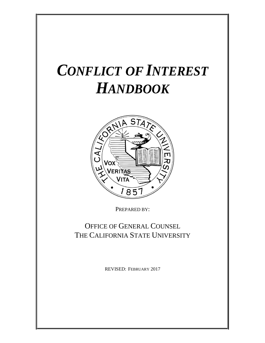# *CONFLICT OF INTEREST HANDBOOK*



PREPARED BY:

# OFFICE OF GENERAL COUNSEL THE CALIFORNIA STATE UNIVERSITY

REVISED: FEBRUARY 2017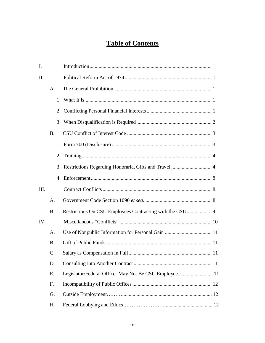# **Table of Contents**

| I.   |                 |                                                       |  |
|------|-----------------|-------------------------------------------------------|--|
| Π.   |                 |                                                       |  |
|      | $\mathsf{A}$ .  |                                                       |  |
|      |                 |                                                       |  |
|      |                 |                                                       |  |
|      |                 |                                                       |  |
|      | <b>B.</b>       |                                                       |  |
|      |                 |                                                       |  |
|      |                 |                                                       |  |
|      |                 |                                                       |  |
|      |                 |                                                       |  |
| III. |                 |                                                       |  |
|      | A.              |                                                       |  |
|      | <b>B.</b>       |                                                       |  |
| IV.  |                 |                                                       |  |
|      | A.              |                                                       |  |
|      | <b>B.</b>       |                                                       |  |
|      | $\mathcal{C}$ . |                                                       |  |
|      | D.              |                                                       |  |
|      | Ε.              | Legislator/Federal Officer May Not Be CSU Employee 11 |  |
|      | F.              |                                                       |  |
|      | G.              |                                                       |  |
|      | H.              |                                                       |  |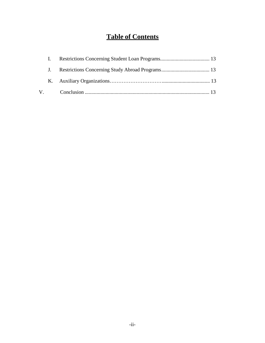# **Table of Contents**

| $\mathbf{L}$ |  |
|--------------|--|
|              |  |
|              |  |
|              |  |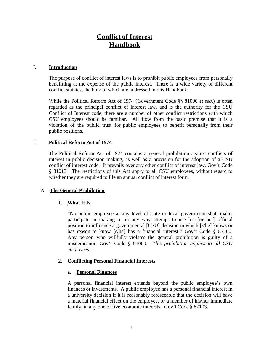# **Conflict of Interest Handbook**

#### I. **Introduction**

The purpose of conflict of interest laws is to prohibit public employees from personally benefitting at the expense of the public interest. There is a wide variety of different conflict statutes, the bulk of which are addressed in this Handbook.

While the Political Reform Act of 1974 (Government Code §§ 81000 *et seq*.) is often regarded as the principal conflict of interest law, and is the authority for the CSU Conflict of Interest code, there are a number of other conflict restrictions with which CSU employees should be familiar. All flow from the basic premise that it is a violation of the public trust for public employees to benefit personally from their public positions.

#### II. **Political Reform Act of 1974**

The Political Reform Act of 1974 contains a general prohibition against conflicts of interest in public decision making, as well as a provision for the adoption of a CSU conflict of interest code. It prevails over any other conflict of interest law. Gov't Code § 81013. The restrictions of this Act apply to all CSU employees, without regard to whether they are required to file an annual conflict of interest form.

#### A. **The General Prohibition**

# 1. **What It Is**

"No public employee at any level of state or local government shall make, participate in making or in any way attempt to use his [or her] official position to influence a governmental [CSU] decision in which [s/he] knows or has reason to know [s/he] has a financial interest." Gov't Code § 87100. Any person who willfully violates the general prohibition is guilty of a misdemeanor. Gov't Code § 91000. *This prohibition applies to all CSU employees*.

#### 2. **Conflicting Personal Financial Interests**

#### a. **Personal Finances**

A personal financial interest extends beyond the public employee's own finances or investments. A public employee has a personal financial interest in a university decision if it is reasonably foreseeable that the decision will have a material financial effect on the employee, or a member of his/her immediate family, in any one of five economic interests. Gov't Code § 87103.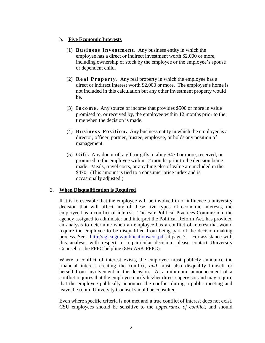#### b. **Five Economic Interests**

- (1) **Business Investment.** Any business entity in which the employee has a direct or indirect investment worth \$2,000 or more, including ownership of stock by the employee or the employee's spouse or dependent child.
- (2) **Real Property.** Any real property in which the employee has a direct or indirect interest worth \$2,000 or more. The employee's home is not included in this calculation but any other investment property would be.
- (3) **Income.** Any source of income that provides \$500 or more in value promised to, or received by, the employee within 12 months prior to the time when the decision is made.
- (4) **Business Position.** Any business entity in which the employee is a director, officer, partner, trustee, employee, or holds any position of management.
- (5) **Gift.** Any donor of, a gift or gifts totaling \$470 or more, received, or promised to the employee within 12 months prior to the decision being made. Meals, travel costs, or anything else of value are included in the \$470. (This amount is tied to a consumer price index and is occasionally adjusted.)

# 3. **When Disqualification is Required**

If it is foreseeable that the employee will be involved in or influence a university decision that will affect any of these five types of economic interests, the employee has a conflict of interest. The Fair Political Practices Commission, the agency assigned to administer and interpret the Political Reform Act, has provided an analysis to determine when an employee has a conflict of interest that would require the employee to be disqualified from being part of the decision-making process. See: <http://ag.ca.gov/publications/coi.pdf> at page 7. For assistance with this analysis with respect to a particular decision, please contact University Counsel or the FPPC helpline (866-ASK-FPPC).

Where a conflict of interest exists, the employee must publicly announce the financial interest creating the conflict, *and* must also disqualify himself or herself from involvement in the decision. At a minimum, announcement of a conflict requires that the employee notify his/her direct supervisor and may require that the employee publically announce the conflict during a public meeting and leave the room. University Counsel should be consulted.

Even where specific criteria is not met and a true conflict of interest does not exist, CSU employees should be sensitive to the *appearance of conflict*, and should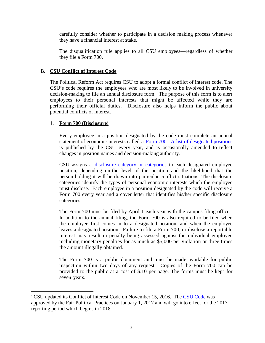carefully consider whether to participate in a decision making process whenever they have a financial interest at stake.

The disqualification rule applies to all CSU employees—regardless of whether they file a Form 700.

# B. **CSU Conflict of Interest Code**

The Political Reform Act requires CSU to adopt a formal conflict of interest code. The CSU's code requires the employees who are most likely to be involved in university decision-making to file an annual disclosure form. The purpose of this form is to alert employees to their personal interests that might be affected while they are performing their official duties. Disclosure also helps inform the public about potential conflicts of interest.

# 1. **Form 700 (Disclosure)**

l

Every employee in a position designated by the code must complete an annual statement of economic interests called a [Form 700.](http://www.fppc.ca.gov/Form700.html) [A list of designated](http://www.calstate.edu/HRAdm/pdf2008/HR2008-02AttB.pdf) [positions](http://www.calstate.edu/HRAdm/pdf2008/HR2008-02AttB.pdf) is published by the CSU every year, and is occasionally amended to reflect changes in position names and decision-making authority. [1](#page-5-0)

CSU assigns a disclosure [category or](http://www.calstate.edu/HRAdm/pdf2008/HR2008-02AttA.pdf) categories to each designated employee position, depending on the level of the position and the likelihood that the person holding it will be drawn into particular conflict situations. The disclosure categories identify the types of personal economic interests which the employee must disclose. Each employee in a position designated by the code will receive a Form 700 every year and a cover letter that identifies his/her specific disclosure categories.

The Form 700 must be filed by April 1 each year with the campus filing officer. In addition to the annual filing, the Form 700 is also required to be filed when the employee first comes in to a designated position, and when the employee leaves a designated position. Failure to file a Form 700, or disclose a reportable interest may result in penalty being assessed against the individual employee including monetary penalties for as much as \$5,000 per violation or three times the amount illegally obtained.

The Form 700 is a public document and must be made available for public inspection within two days of any request. Copies of the Form 700 can be provided to the public at a cost of \$.10 per page. The forms must be kept for seven years.

<span id="page-5-0"></span><sup>&</sup>lt;sup>1</sup> CSU updated its Conflict of Interest Code on November 15, 2016. The [CSU Code](http://www.calstate.edu/budget/fybudget/legislative-reports/Employment-Rpt-Attachment-B.pdf) was approved by the Fair Political Practices on January 1, 2017 and will go into effect for the 2017 reporting period which begins in 2018.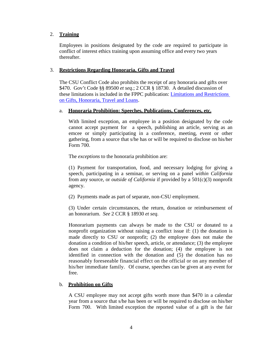## 2. **Training**

Employees in positions designated by the code are required to participate in conflict of interest ethics training upon assuming office and every two years thereafter.

### 3. **Restrictions Regarding Honoraria, Gifts and Travel**

The CSU Conflict Code also prohibits the receipt of any honoraria and gifts over \$470. Gov't Code §§ 89500 *et seq*.; 2 CCR § 18730. A detailed discussion of these limitations is included in the FPPC publication: [Limitations and Restrictions](http://www.fppc.ca.gov/content/dam/fppc/NS-Documents/TAD/Public%20Officials%20and%20Employees/StateGiftFactSheet.pdf)  [on Gifts, Honoraria, Travel and Loans.](http://www.fppc.ca.gov/content/dam/fppc/NS-Documents/TAD/Public%20Officials%20and%20Employees/StateGiftFactSheet.pdf)

#### a. **Honoraria Prohibition: Speeches, Publications, Conferences, etc.**

With limited exception, an employee in a position designated by the code cannot accept payment for a speech, publishing an article, serving as an emcee or simply participating in a conference, meeting, event or other gathering, from a source that s/he has or will be required to disclose on his/her Form 700.

The *exceptions* to the honoraria prohibition are:

(1) Payment for transportation, food, and necessary lodging for giving a speech, participating in a seminar, or serving on a panel *within California* from any source, or *outside of California* if provided by a 501(c)(3) nonprofit agency.

(2) Payments made as part of separate, non-CSU employment.

(3) Under certain circumstances, the return, donation or reimbursement of an honorarium. *See* 2 CCR § 18930 *et seq*.

Honorarium payments can always be made to the CSU or donated to a nonprofit organization without raising a conflict issue if: (1) the donation is made directly to CSU or nonprofit; (2) the employee does not make the donation a condition of his/her speech, article, or attendance; (3) the employee does not claim a deduction for the donation; (4) the employee is not identified in connection with the donation and (5) the donation has no reasonably foreseeable financial effect on the official or on any member of his/her immediate family. Of course, speeches can be given at any event for free.

# b. **Prohibition on Gifts**

A CSU employee may not accept gifts worth more than \$470 in a calendar year from a source that s/he has been or will be required to disclose on his/her Form 700. With limited exception the reported value of a gift is the fair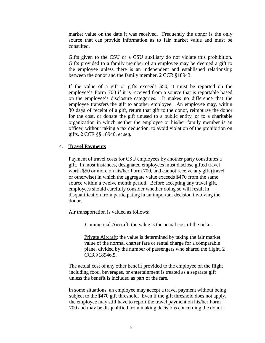market value on the date it was received. Frequently the donor is the only source that can provide information as to fair market value and must be consulted.

Gifts given to the CSU or a CSU auxiliary do not violate this prohibition. Gifts provided to a family member of an employee may be deemed a gift to the employee unless there is an independent and established relationship between the donor and the family member. 2 CCR §18943.

If the value of a gift or gifts exceeds \$50, it must be reported on the employee's Form 700 if it is received from a source that is reportable based on the employee's disclosure categories. It makes no difference that the employee transfers the gift to another employee. An employee may, within 30 days of receipt of a gift, return that gift to the donor, reimburse the donor for the cost, or donate the gift unused to a public entity, or to a charitable organization in which neither the employee or his/her family member is an officer, without taking a tax deduction, to avoid violation of the prohibition on gifts. 2 CCR §§ 18940, *et seq.* 

#### c. **Travel Payments**

Payment of travel costs for CSU employees by another party constitutes a gift. In most instances, designated employees must disclose gifted travel worth \$50 or more on his/her Form 700, and cannot receive any gift (travel or otherwise) in which the aggregate value exceeds \$470 from the same source within a twelve month period. Before accepting any travel gift, employees should carefully consider whether doing so will result in disqualification from participating in an important decision involving the donor.

Air transportation is valued as follows:

Commercial Aircraft: the value is the actual cost of the ticket.

Private Aircraft: the value is determined by taking the fair market value of the normal charter fare or rental charge for a comparable plane, divided by the number of passengers who shared the flight. 2 CCR §18946.5.

The actual cost of any other benefit provided to the employee on the flight including food, beverages, or entertainment is treated as a separate gift unless the benefit is included as part of the fare.

In some situations, an employee may accept a travel payment without being subject to the \$470 gift threshold. Even if the gift threshold does not apply, the employee may still have to report the travel payment on his/her Form 700 and may be disqualified from making decisions concerning the donor.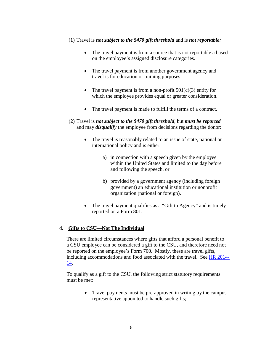#### (1) Travel is *not subject to the \$470 gift threshold* and is *not reportable:*

- The travel payment is from a source that is not reportable a based on the employee's assigned disclosure categories.
- The travel payment is from another government agency and travel is for education or training purposes.
- The travel payment is from a non-profit  $501(c)(3)$  entity for which the employee provides equal or greater consideration.
- The travel payment is made to fulfill the terms of a contract.
- (2) Travel is *not subject to the \$470 gift threshold*, but *must be reported* and may *disqualify* the employee from decisions regarding the donor:
	- The travel is reasonably related to an issue of state, national or international policy and is either:
		- a) in connection with a speech given by the employee within the United States and limited to the day before and following the speech, or
		- b) provided by a government agency (including foreign government) an educational institution or nonprofit organization (national or foreign).
	- The travel payment qualifies as a "Gift to Agency" and is timely reported on a Form 801.

# d. **Gifts to CSU—Not The Individual**

There are limited circumstances where gifts that afford a personal benefit to a CSU employee can be considered a gift to the CSU, and therefore need not be reported on the employee's Form 700. Mostly, these are travel gifts, including accommodations and food associated with the travel. See [HR 2014-](https://csyou.calstate.edu/Policies/HRPolicies/HR2014-14.pdf) [14.](https://csyou.calstate.edu/Policies/HRPolicies/HR2014-14.pdf)

To qualify as a gift to the CSU, the following strict statutory requirements must be met:

> • Travel payments must be pre-approved in writing by the campus representative appointed to handle such gifts;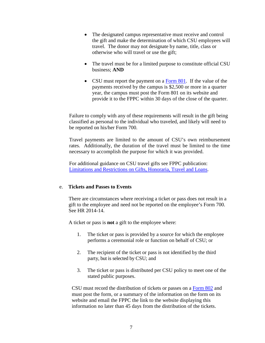- The designated campus representative must receive and control the gift and make the determination of which CSU employees will travel. The donor may not designate by name, title, class or otherwise who will travel or use the gift;
- The travel must be for a limited purpose to constitute official CSU business; **AND**
- CSU must report the payment on a [Form 801.](http://www.fppc.ca.gov/content/dam/fppc/NS-Documents/TAD/Agency%20Reports/Form%20801.pdf) If the value of the payments received by the campus is \$2,500 or more in a quarter year, the campus must post the Form 801 on its website and provide it to the FPPC within 30 days of the close of the quarter.

Failure to comply with any of these requirements will result in the gift being classified as personal to the individual who traveled, and likely will need to be reported on his/her Form 700.

Travel payments are limited to the amount of CSU's own reimbursement rates. Additionally, the duration of the travel must be limited to the time necessary to accomplish the purpose for which it was provided.

For additional guidance on CSU travel gifts see FPPC publication: [Limitations and Restrictions on Gifts, Honoraria, Travel and Loans.](http://www.fppc.ca.gov/content/dam/fppc/NS-Documents/TAD/Public%20Officials%20and%20Employees/StateGiftFactSheet.pdf)

#### e. **Tickets and Passes to Events**

There are circumstances where receiving a ticket or pass does not result in a gift to the employee and need not be reported on the employee's Form 700. See HR 2014-14.

A ticket or pass is **not** a gift to the employee where:

- 1. The ticket or pass is provided by a source for which the employee performs a ceremonial role or function on behalf of CSU; or
- 2. The recipient of the ticket or pass is not identified by the third party, but is selected by CSU; and
- 3. The ticket or pass is distributed per CSU policy to meet one of the stated public purposes.

CSU must record the distribution of tickets or passes on a [Form 802](http://www.fppc.ca.gov/content/dam/fppc/NS-Documents/TAD/Agency%20Reports/Form-802.pdf) and must post the form, or a summary of the information on the form on its website and email the FPPC the link to the website displaying this information no later than 45 days from the distribution of the tickets.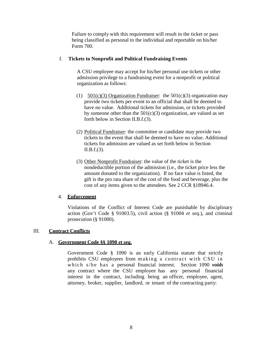Failure to comply with this requirement will result in the ticket or pass being classified as personal to the individual and reportable on his/her Form 700.

### f. **Tickets to Nonprofit and Political Fundraising Events**

A CSU employee may accept for his/her personal use tickets or other admission privilege to a fundraising event for a nonprofit or political organization as follows:

- (1)  $501(c)(3)$  Organization Fundraiser: the  $501(c)(3)$  organization may provide two tickets per event to an official that shall be deemed to have no value. Additional tickets for admission, or tickets provided by someone other than the  $501(c)(3)$  organization, are valued as set forth below in Section II.B.f.(3).
- (2) Political Fundraiser: the committee or candidate may provide two tickets to the event that shall be deemed to have no value. Additional tickets for admission are valued as set forth below in Section II.B.f.(3).
- (3) Other Nonprofit Fundraiser: the value of the ticket is the nondeductible portion of the admission (i.e., the ticket price less the amount donated to the organization). If no face value is listed, the gift is the pro rata share of the cost of the food and beverage, plus the cost of any items given to the attendees. See 2 CCR §18946.4.

#### 4. **Enforcement**

Violations of the Conflict of Interest Code are punishable by disciplinary action (Gov't Code § 91003.5), civil action (§ 91004 *et seq*.), and criminal prosecution (§ 91000).

#### III. **Contract Conflicts**

#### A. **Government Code §§ 1090** *et seq***.**

Government Code § 1090 is an early California statute that strictly prohibits CSU employees from making a contract with CSU in which s/he has a personal financial interest. Section 1090 *voids* any contract where the CSU employee has any personal financial interest in the contract, including being an officer, employee, agent, attorney, broker, supplier, landlord, or tenant of the contracting party: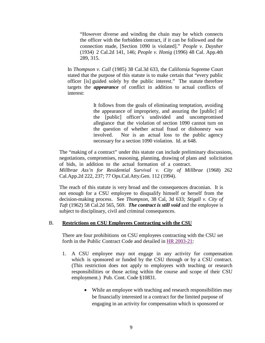"However diverse and winding the chain may be which connects the officer with the forbidden contract, if it can be followed and the connection made, [Section 1090 is violated]." *People v. Daysher* (1934) 2 Cal.2d 141, 146; *People v. Honig* (1996) 48 Cal. App.4th 289, 315.

In *Thompson v. Call* (1985) 38 Cal.3d 633, the California Supreme Court stated that the purpose of this statute is to make certain that "every public officer [is] guided solely by the public interest." The statute therefore targets the *appearance* of conflict in addition to actual conflicts of interest:

> It follows from the goals of eliminating temptation, avoiding the appearance of impropriety, and assuring the [public] of the [public] officer's undivided and uncompromised allegiance that the violation of section 1090 cannot turn on the question of whether actual fraud or dishonesty was involved. Nor is an actual loss to the public agency necessary for a section 1090 violation. Id. at 648.

The "making of a contract" under this statute can include preliminary discussions, negotiations, compromises, reasoning, planning, drawing of plans and solicitation of bids, in addition to the actual formation of a contract. *Millbrae Ass'n for Residential Survival v. City of Millbrae* (1968) 262 Cal.App.2d 222, 237; 77 Ops.Cal.Atty.Gen. 112 (1994).

The reach of this statute is very broad and the consequences draconian. It is not enough for a CSU employee to disqualify himself or herself from the decision-making process. See *Thompson*, 38 Cal, 3d 633; *Stigall v. City of Taft* (1962) 58 Cal.2d 565, 569. *The contract is still void* and the employee is subject to disciplinary, civil and criminal consequences.

#### B. **Restrictions on CSU Employees Contracting with the CSU**

There are four prohibitions on CSU employees contracting with the CSU set forth in the Public Contract Code and detailed in [HR 2003-21:](http://www.calstate.edu/HRAdm/pdf2003/HR2003-21.pdf)

- 1. A CSU employee may not engage in any activity for compensation which is sponsored or funded by the CSU through or by a CSU contract. (This restriction does not apply to employees with teaching or research responsibilities or those acting within the course and scope of their CSU employment.) Pub. Cont. Code §10831.
	- While an employee with teaching and research responsibilities may be financially interested in a contract for the limited purpose of engaging in an activity for compensation which is sponsored or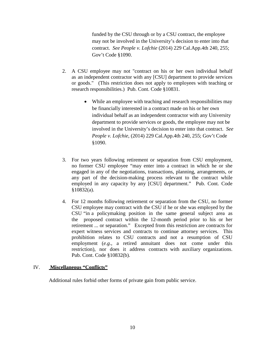funded by the CSU through or by a CSU contract, the employee may not be involved in the University's decision to enter into that contract. *See People v. Lofchie* (2014) 229 Cal.App.4th 240, 255; Gov't Code §1090.

- 2. A CSU employee may not "contract on his or her own individual behalf as an independent contractor with any [CSU] department to provide services or goods." (This restriction does not apply to employees with teaching or research responsibilities.) Pub. Cont. Code §10831.
	- While an employee with teaching and research responsibilities may be financially interested in a contract made on his or her own individual behalf as an independent contractor with any University department to provide services or goods, the employee may not be involved in the University's decision to enter into that contract. *See People v. Lofchie*, (2014) 229 Cal.App.4th 240, 255; Gov't Code §1090.
- 3. For two years following retirement or separation from CSU employment, no former CSU employee "may enter into a contract in which he or she engaged in any of the negotiations, transactions, planning, arrangements, or any part of the decision-making process relevant to the contract while employed in any capacity by any [CSU] department." Pub. Cont. Code §10832(a).
- 4. For 12 months following retirement or separation from the CSU, no former CSU employee may contract with the CSU if he or she was employed by the CSU "in a policymaking position in the same general subject area as the proposed contract within the 12-month period prior to his or her retirement ... or separation." Excepted from this restriction are contracts for expert witness services and contracts to continue attorney services. This prohibition relates to CSU contracts and not a resumption of CSU employment (*e.g*., a retired annuitant does not come under this restriction), nor does it address contracts with auxiliary organizations. Pub. Cont. Code §10832(b).

#### IV. **Miscellaneous "Conflicts"**

Additional rules forbid other forms of private gain from public service.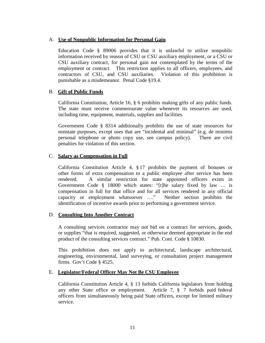## A. **Use of Nonpublic Information for Personal Gain**

Education Code § 89006 provides that it is unlawful to utilize nonpublic information received by reason of CSU or CSU auxiliary employment, or a CSU or CSU auxiliary contract, for personal gain not contemplated by the terms of the employment or contract. This restriction applies to all officers, employees, and contractors of CSU, and CSU auxiliaries. Violation of this prohibition is punishable as a misdemeanor. Penal Code §19.4.

### B. **Gift of Public Funds**

California Constitution, Article 16, § 6 prohibits making gifts of any public funds. The state must receive commensurate value whenever its resources are used, including time, equipment, materials, supplies and facilities.

Government Code § 8314 additionally prohibits the use of state resources for nonstate purposes, except uses that are "incidental and minimal" (e.g. de minimis personal telephone or photo copy use, see campus policy). There are civil penalties for violation of this section.

### C. **Salary as Compensation in Full**

California Constitution Article 4, § 17 prohibits the payment of bonuses or other forms of extra compensation to a public employee after service has been rendered. A similar restriction for state appointed officers exists in Government Code § 18000 which states: "[t]he salary fixed by law … is compensation in full for that office and for all services rendered in any official capacity or employment whatsoever …." Neither section prohibits the identification of incentive awards prior to performing a government service.

#### D. **Consulting Into Another Contract**

A consulting services contractor may not bid on a contract for services, goods, or supplies "that is required, suggested, or otherwise deemed appropriate in the end product of the consulting services contract." Pub. Cont. Code § 10830.

This prohibition does not apply to architectural, landscape architectural, engineering, environmental, land surveying, or consultation project management firms. Gov't Code § 4525.

#### E. **Legislator/Federal Officer May Not Be CSU Employee**

California Constitution Article 4, § 13 forbids California legislators from holding any other State office or employment. Article 7, § 7 forbids paid federal officers from simultaneously being paid State officers, except for limited military service.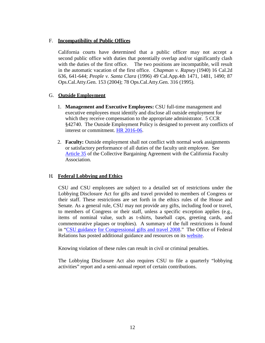# F. **Incompatibility of Public Offices**

California courts have determined that a public officer may not accept a second public office with duties that potentially overlap and/or significantly clash with the duties of the first office. The two positions are incompatible, will result in the automatic vacation of the first office. *Chapman v. Rapsey* (1940) 16 Cal.2d 636, 641-644; *People v. Santa Clara* (1996) 49 Cal.App.4th 1471, 1481, 1490; 87 Ops.Cal.Atty.Gen. 153 (2004); 78 Ops.Cal.Atty.Gen. 316 (1995).

# G. **Outside Employment**

- 1. **Management and Executive Employees:** CSU full-time management and executive employees must identify and disclose all outside employment for which they receive compensation to the appropriate administrator. 5 CCR §42740. The Outside Employment Policy is designed to prevent any conflicts of interest or commitment. [HR 2016-06.](https://csyou.calstate.edu/Policies/HRPolicies/HR2016-06.pdf)
- 2. **Faculty:** Outside employment shall not conflict with normal work assignments or satisfactory performance of all duties of the faculty unit employee. See [Article 35](http://www.calstate.edu/hr/employee-relations/bargaining-agreements/contracts/cfa/2014-2017/article35.pdf) of the Collective Bargaining Agreement with the California Faculty Association.

# H. **Federal Lobbying and Ethics**

CSU and CSU employees are subject to a detailed set of restrictions under the Lobbying Disclosure Act for gifts and travel provided to members of Congress or their staff. These restrictions are set forth in the ethics rules of the House and Senate. As a general rule, CSU may not provide any gifts, including food or travel, to members of Congress or their staff, unless a specific exception applies (e.g., items of nominal value, such as t-shirts, baseball caps, greeting cards, and commemorative plaques or trophies). A summary of the full restrictions is found in ["CSU guidance](http://www.calstate.edu/federalrelations/Lobbying-and-Ethics/documents/CSUguidanceCongressionalgiftsandtravel.pdf) for Congressional [gifts and travel 2008.](http://www.calstate.edu/federalrelations/Lobbying-and-Ethics/documents/CSUguidanceCongressionalgiftsandtravel.pdf)" The Office of Federal Relations has posted additional guidance and resources on its [website.](http://www.calstate.edu/federalrelations/Lobbying-and-Ethics/)

Knowing violation of these rules can result in civil or criminal penalties.

The Lobbying Disclosure Act also requires CSU to file a quarterly "lobbying activities" report and a semi-annual report of certain contributions.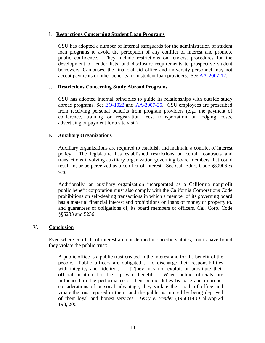### I. **Restrictions Concerning Student Loan Programs**

CSU has adopted a number of internal safeguards for the administration of student loan programs to avoid the perception of any conflict of interest and promote public confidence. They include restrictions on lenders, procedures for the development of lender lists, and disclosure requirements to prospective student borrowers. Campuses, the financial aid office and university personnel may not accept payments or other benefits from student loan providers. See [AA-2007-12.](http://www.calstate.edu/acadaff/codedmemos/AA-2007-12.pdf)

## J. **Restrictions Concerning Study Abroad Programs**

CSU has adopted internal principles to guide its relationships with outside study abroad programs. See [EO-1022](http://www.calstate.edu/eo/EO-1022.html) and [AA-2007-25.](http://www.calstate.edu/acadaff/codedmemos/AA-2007-25.pdf) CSU employees are proscribed from receiving personal benefits from program providers (e.g., the payment of conference, training or registration fees, transportation or lodging costs, advertising or payment for a site visit).

### K. **Auxiliary Organizations**

Auxiliary organizations are required to establish and maintain a conflict of interest policy. The legislature has established restrictions on certain contracts and transactions involving auxiliary organization governing board members that could result in, or be perceived as a conflict of interest. See Cal. Educ. Code §89906 *et seq.*

Additionally, an auxiliary organization incorporated as a California nonprofit public benefit corporation must also comply with the California Corporations Code prohibitions on self-dealing transactions in which a member of its governing board has a material financial interest and prohibitions on loans of money or property to, and guarantees of obligations of, its board members or officers. Cal. Corp. Code §§5233 and 5236.

#### V. **Conclusion**

Even where conflicts of interest are not defined in specific statutes, courts have found they violate the public trust:

A public office is a public trust created in the interest and for the benefit of the people. Public officers are obligated ... to discharge their responsibilities with integrity and fidelity... [T]hey may not exploit or prostitute their official position for their private benefits. When public officials are influenced in the performance of their public duties by base and improper considerations of personal advantage, they violate their oath of office and vitiate the trust reposed in them, and the public is injured by being deprived of their loyal and honest services. *Terry v. Bender* (1956)143 Cal.App.2d 198, 206.